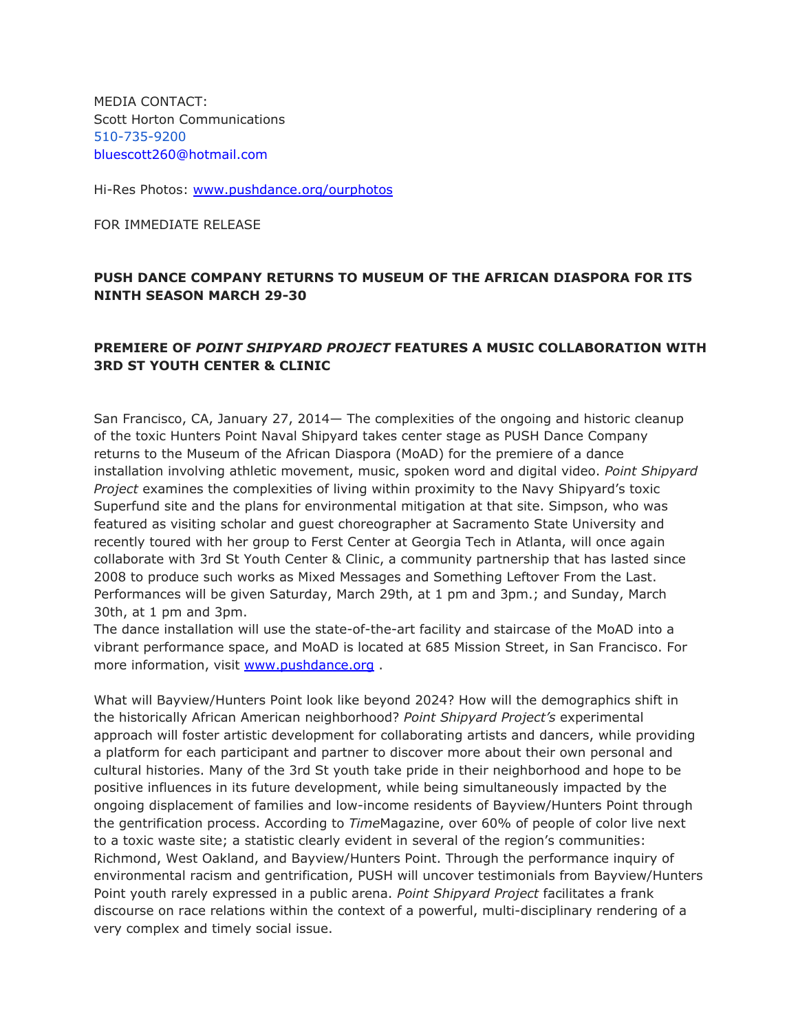MEDIA CONTACT: Scott Horton Communications 510-735-9200 bluescott260@hotmail.com

Hi-Res Photos: [www.pushdance.org/ourphotos](http://www.google.com/url?q=http%3A%2F%2Fwww.pushdance.org%2Fourphotos&sa=D&sntz=1&usg=AFQjCNGnaHfmuflb7CgOjnEHZcbpp5QhjQ)

FOR IMMEDIATE RELEASE

### **PUSH DANCE COMPANY RETURNS TO MUSEUM OF THE AFRICAN DIASPORA FOR ITS NINTH SEASON MARCH 29-30**

## **PREMIERE OF** *POINT SHIPYARD PROJECT* **FEATURES A MUSIC COLLABORATION WITH 3RD ST YOUTH CENTER & CLINIC**

San Francisco, CA, January 27, 2014— The complexities of the ongoing and historic cleanup of the toxic Hunters Point Naval Shipyard takes center stage as PUSH Dance Company returns to the Museum of the African Diaspora (MoAD) for the premiere of a dance installation involving athletic movement, music, spoken word and digital video. *Point Shipyard Project* examines the complexities of living within proximity to the Navy Shipyard's toxic Superfund site and the plans for environmental mitigation at that site. Simpson, who was featured as visiting scholar and guest choreographer at Sacramento State University and recently toured with her group to Ferst Center at Georgia Tech in Atlanta, will once again collaborate with 3rd St Youth Center & Clinic, a community partnership that has lasted since 2008 to produce such works as Mixed Messages and Something Leftover From the Last. Performances will be given Saturday, March 29th, at 1 pm and 3pm.; and Sunday, March 30th, at 1 pm and 3pm.

The dance installation will use the state-of-the-art facility and staircase of the MoAD into a vibrant performance space, and MoAD is located at 685 Mission Street, in San Francisco. For more information, visit [www.pushdance.org](http://www.google.com/url?q=http%3A%2F%2Fwww.pushdance.org%2F&sa=D&sntz=1&usg=AFQjCNGmRRHrWr11cF2kRuievebohlFhmQ).

What will Bayview/Hunters Point look like beyond 2024? How will the demographics shift in the historically African American neighborhood? *Point Shipyard Project's* experimental approach will foster artistic development for collaborating artists and dancers, while providing a platform for each participant and partner to discover more about their own personal and cultural histories. Many of the 3rd St youth take pride in their neighborhood and hope to be positive influences in its future development, while being simultaneously impacted by the ongoing displacement of families and low-income residents of Bayview/Hunters Point through the gentrification process. According to *Time*Magazine, over 60% of people of color live next to a toxic waste site; a statistic clearly evident in several of the region's communities: Richmond, West Oakland, and Bayview/Hunters Point. Through the performance inquiry of environmental racism and gentrification, PUSH will uncover testimonials from Bayview/Hunters Point youth rarely expressed in a public arena. *Point Shipyard Project* facilitates a frank discourse on race relations within the context of a powerful, multi-disciplinary rendering of a very complex and timely social issue.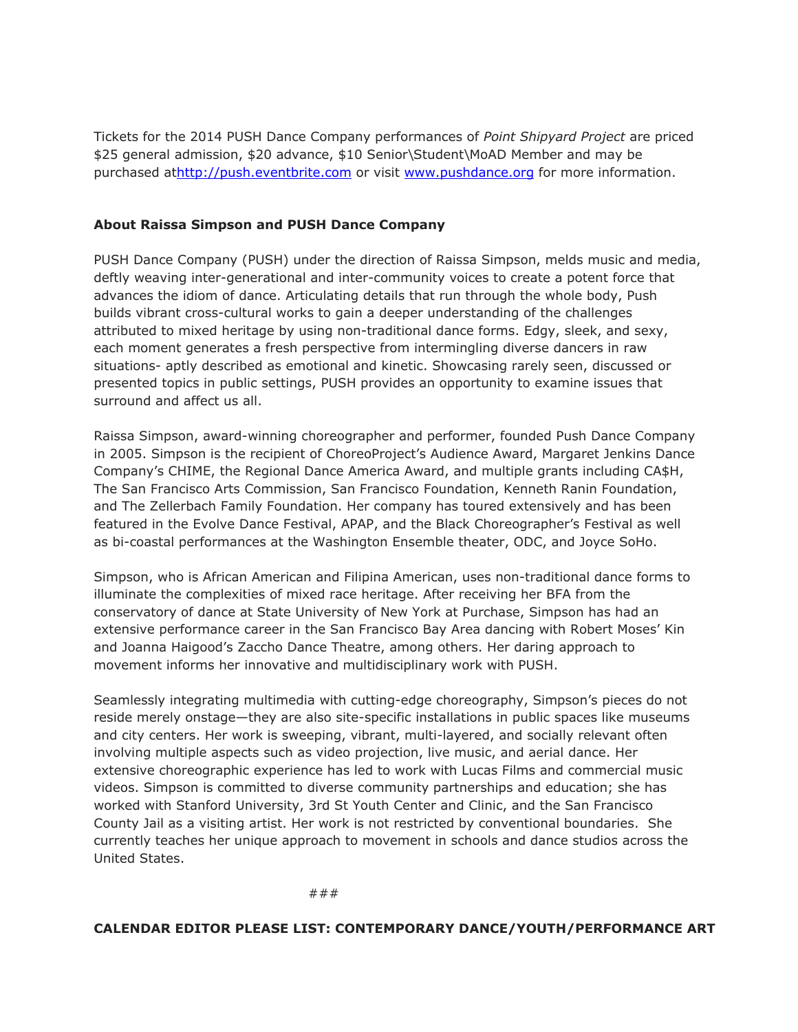Tickets for the 2014 PUSH Dance Company performances of *Point Shipyard Project* are priced \$25 general admission, \$20 advance, \$10 Senior\Student\MoAD Member and may be purchased a[thttp://push.eventbrite.com](http://www.google.com/url?q=http%3A%2F%2Fpush.eventbrite.com%2F&sa=D&sntz=1&usg=AFQjCNFEGbKRslY_dRhJONIv3edMDfqfYQ) or visit [www.pushdance.org](http://www.google.com/url?q=http%3A%2F%2Fwww.pushdance.org%2F&sa=D&sntz=1&usg=AFQjCNGmRRHrWr11cF2kRuievebohlFhmQ) for more information.

#### **About Raissa Simpson and PUSH Dance Company**

PUSH Dance Company (PUSH) under the direction of Raissa Simpson, melds music and media, deftly weaving inter-generational and inter-community voices to create a potent force that advances the idiom of dance. Articulating details that run through the whole body, Push builds vibrant cross-cultural works to gain a deeper understanding of the challenges attributed to mixed heritage by using non-traditional dance forms. Edgy, sleek, and sexy, each moment generates a fresh perspective from intermingling diverse dancers in raw situations- aptly described as emotional and kinetic. Showcasing rarely seen, discussed or presented topics in public settings, PUSH provides an opportunity to examine issues that surround and affect us all.

Raissa Simpson, award-winning choreographer and performer, founded Push Dance Company in 2005. Simpson is the recipient of ChoreoProject's Audience Award, Margaret Jenkins Dance Company's CHIME, the Regional Dance America Award, and multiple grants including CA\$H, The San Francisco Arts Commission, San Francisco Foundation, Kenneth Ranin Foundation, and The Zellerbach Family Foundation. Her company has toured extensively and has been featured in the Evolve Dance Festival, APAP, and the Black Choreographer's Festival as well as bi-coastal performances at the Washington Ensemble theater, ODC, and Joyce SoHo.

Simpson, who is African American and Filipina American, uses non-traditional dance forms to illuminate the complexities of mixed race heritage. After receiving her BFA from the conservatory of dance at State University of New York at Purchase, Simpson has had an extensive performance career in the San Francisco Bay Area dancing with Robert Moses' Kin and Joanna Haigood's Zaccho Dance Theatre, among others. Her daring approach to movement informs her innovative and multidisciplinary work with PUSH.

Seamlessly integrating multimedia with cutting-edge choreography, Simpson's pieces do not reside merely onstage—they are also site-specific installations in public spaces like museums and city centers. Her work is sweeping, vibrant, multi-layered, and socially relevant often involving multiple aspects such as video projection, live music, and aerial dance. Her extensive choreographic experience has led to work with Lucas Films and commercial music videos. Simpson is committed to diverse community partnerships and education; she has worked with Stanford University, 3rd St Youth Center and Clinic, and the San Francisco County Jail as a visiting artist. Her work is not restricted by conventional boundaries. She currently teaches her unique approach to movement in schools and dance studios across the United States.

###

#### **CALENDAR EDITOR PLEASE LIST: CONTEMPORARY DANCE/YOUTH/PERFORMANCE ART**